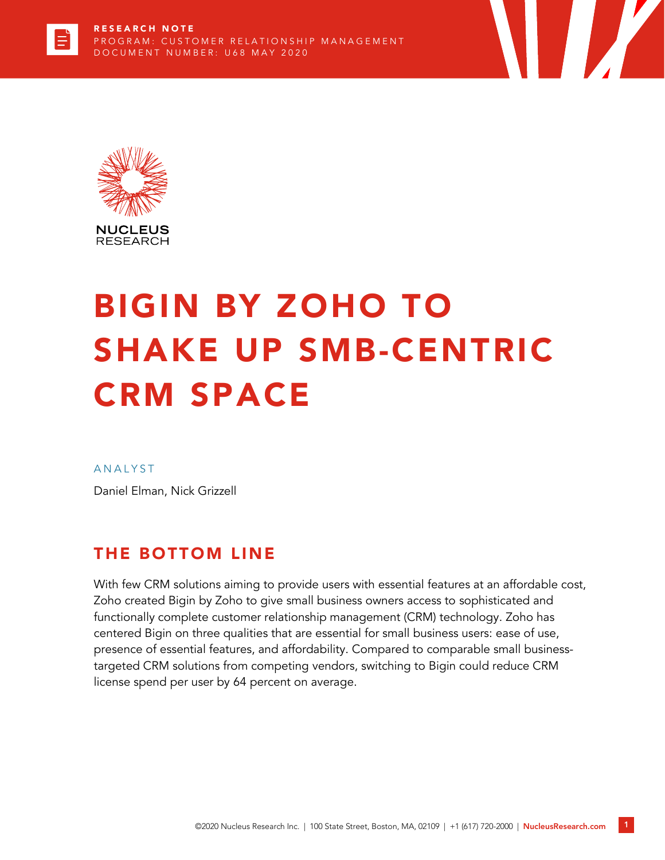



# BIGIN BY ZOHO TO SHAKE UP SMB-CENTRIC CRM SPACE

#### **ANALYST**

Daniel Elman, Nick Grizzell

### THE BOTTOM LINE

With few CRM solutions aiming to provide users with essential features at an affordable cost, Zoho created Bigin by Zoho to give small business owners access to sophisticated and functionally complete customer relationship management (CRM) technology. Zoho has centered Bigin on three qualities that are essential for small business users: ease of use, presence of essential features, and affordability. Compared to comparable small businesstargeted CRM solutions from competing vendors, switching to Bigin could reduce CRM license spend per user by 64 percent on average.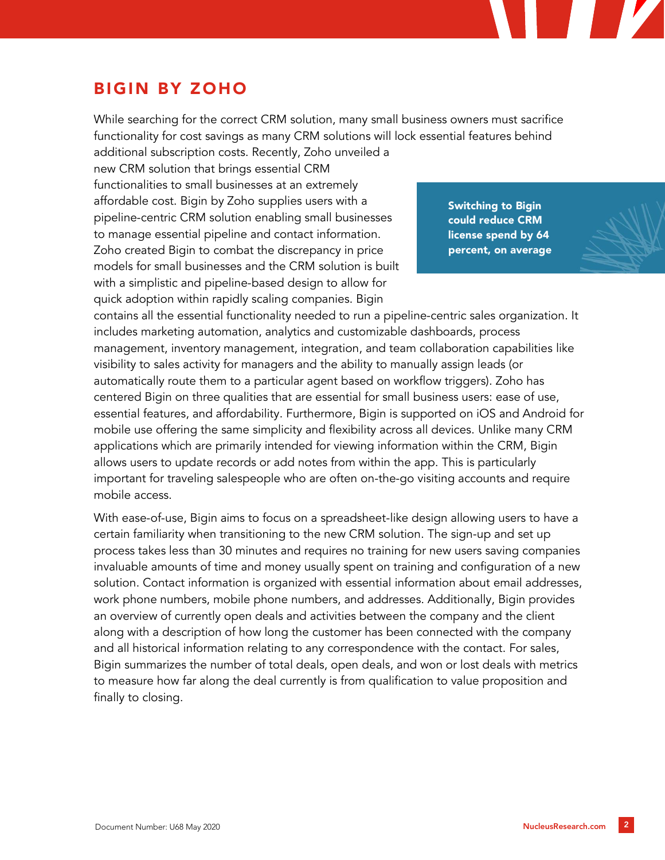## BIGIN BY ZOHO

While searching for the correct CRM solution, many small business owners must sacrifice functionality for cost savings as many CRM solutions will lock essential features behind additional subscription costs. Recently, Zoho unveiled a

new CRM solution that brings essential CRM functionalities to small businesses at an extremely affordable cost. Bigin by Zoho supplies users with a pipeline-centric CRM solution enabling small businesses to manage essential pipeline and contact information. Zoho created Bigin to combat the discrepancy in price models for small businesses and the CRM solution is built with a simplistic and pipeline-based design to allow for quick adoption within rapidly scaling companies. Bigin

Switching to Bigin could reduce CRM license spend by 64 percent, on average

contains all the essential functionality needed to run a pipeline-centric sales organization. It includes marketing automation, analytics and customizable dashboards, process management, inventory management, integration, and team collaboration capabilities like visibility to sales activity for managers and the ability to manually assign leads (or automatically route them to a particular agent based on workflow triggers). Zoho has centered Bigin on three qualities that are essential for small business users: ease of use, essential features, and affordability. Furthermore, Bigin is supported on iOS and Android for mobile use offering the same simplicity and flexibility across all devices. Unlike many CRM applications which are primarily intended for viewing information within the CRM, Bigin allows users to update records or add notes from within the app. This is particularly important for traveling salespeople who are often on-the-go visiting accounts and require mobile access.

With ease-of-use, Bigin aims to focus on a spreadsheet-like design allowing users to have a certain familiarity when transitioning to the new CRM solution. The sign-up and set up process takes less than 30 minutes and requires no training for new users saving companies invaluable amounts of time and money usually spent on training and configuration of a new solution. Contact information is organized with essential information about email addresses, work phone numbers, mobile phone numbers, and addresses. Additionally, Bigin provides an overview of currently open deals and activities between the company and the client along with a description of how long the customer has been connected with the company and all historical information relating to any correspondence with the contact. For sales, Bigin summarizes the number of total deals, open deals, and won or lost deals with metrics to measure how far along the deal currently is from qualification to value proposition and finally to closing.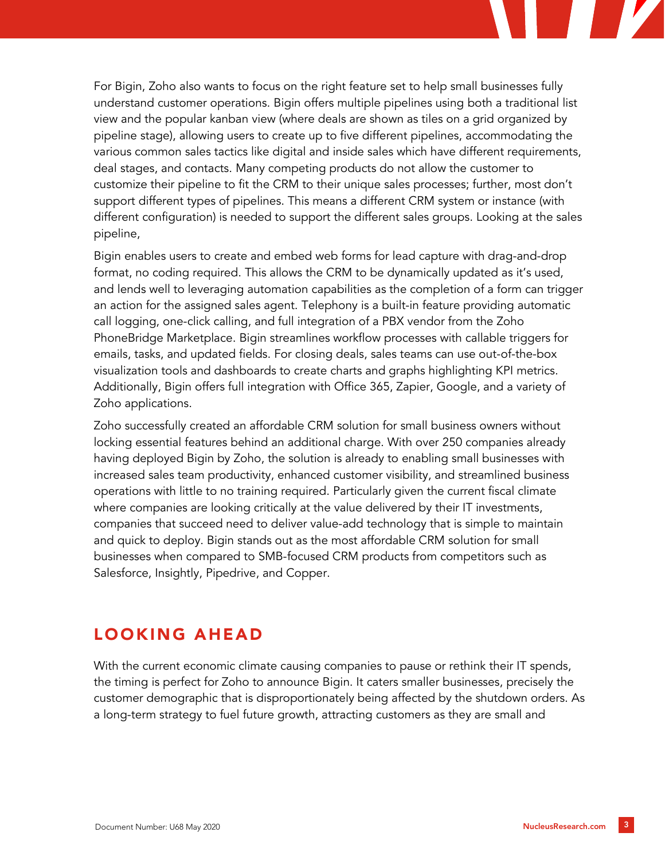For Bigin, Zoho also wants to focus on the right feature set to help small businesses fully understand customer operations. Bigin offers multiple pipelines using both a traditional list view and the popular kanban view (where deals are shown as tiles on a grid organized by pipeline stage), allowing users to create up to five different pipelines, accommodating the various common sales tactics like digital and inside sales which have different requirements, deal stages, and contacts. Many competing products do not allow the customer to customize their pipeline to fit the CRM to their unique sales processes; further, most don't support different types of pipelines. This means a different CRM system or instance (with different configuration) is needed to support the different sales groups. Looking at the sales pipeline,

Bigin enables users to create and embed web forms for lead capture with drag-and-drop format, no coding required. This allows the CRM to be dynamically updated as it's used, and lends well to leveraging automation capabilities as the completion of a form can trigger an action for the assigned sales agent. Telephony is a built-in feature providing automatic call logging, one-click calling, and full integration of a PBX vendor from the Zoho PhoneBridge Marketplace. Bigin streamlines workflow processes with callable triggers for emails, tasks, and updated fields. For closing deals, sales teams can use out-of-the-box visualization tools and dashboards to create charts and graphs highlighting KPI metrics. Additionally, Bigin offers full integration with Office 365, Zapier, Google, and a variety of Zoho applications.

Zoho successfully created an affordable CRM solution for small business owners without locking essential features behind an additional charge. With over 250 companies already having deployed Bigin by Zoho, the solution is already to enabling small businesses with increased sales team productivity, enhanced customer visibility, and streamlined business operations with little to no training required. Particularly given the current fiscal climate where companies are looking critically at the value delivered by their IT investments, companies that succeed need to deliver value-add technology that is simple to maintain and quick to deploy. Bigin stands out as the most affordable CRM solution for small businesses when compared to SMB-focused CRM products from competitors such as Salesforce, Insightly, Pipedrive, and Copper.

### LOOKING AHEAD

With the current economic climate causing companies to pause or rethink their IT spends, the timing is perfect for Zoho to announce Bigin. It caters smaller businesses, precisely the customer demographic that is disproportionately being affected by the shutdown orders. As a long-term strategy to fuel future growth, attracting customers as they are small and